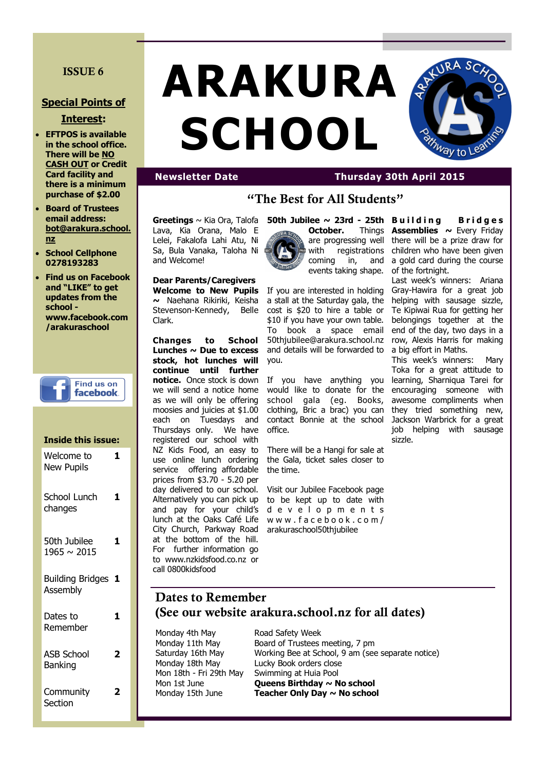### **ISSUE 6**

#### **Special Points of**

#### **Interest:**

- **EFTPOS is available in the school office. There will be NO CASH OUT or Credit Card facility and there is a minimum purchase of \$2.00**
- **Board of Trustees email address: bot@arakura.school. nz**
- **School Cellphone 0278193283**
- **Find us on Facebook and "LIKE" to get updates from the school www.facebook.com /arakuraschool**



# **Inside this issue:** Welcome to New Pupils **1** School Lunch changes **1** 50th Jubilee 1965 ~ 2015 **1** Building Bridges **1** Assembly Dates to Remember **1** ASB School Banking **2 Community Section 2**

# **ARAKURA SCHOOL**



## **Newsletter Date Thursday 30th April 2015**

# **"The Best for All Students"**

**Greetings** ~ Kia Ora, Talofa Lava, Kia Orana, Malo E Lelei, Fakalofa Lahi Atu, Ni Sa, Bula Vanaka, Taloha Ni and Welcome!

**Dear Parents/Caregivers ~** Naehana Rikiriki, Keisha Clark.

**Changes to School Lunches ~ Due to excess stock, hot lunches will continue until further**  we will send a notice home as we will only be offering moosies and juicies at \$1.00 each on Tuesdays and Thursdays only. We have registered our school with NZ Kids Food, an easy to use online lunch ordering service offering affordable prices from \$3.70 - 5.20 per day delivered to our school. Alternatively you can pick up and pay for your child's lunch at the Oaks Café Life City Church, Parkway Road at the bottom of the hill. For further information go to www.nzkidsfood.co.nz or call 0800kidsfood



**Welcome to New Pupils**  If you are interested in holding Stevenson-Kennedy, Belle cost is \$20 to hire a table or a stall at the Saturday gala, the \$10 if you have your own table. To book a space email 50thjubilee@arakura.school.nz and details will be forwarded to you.

**notice.** Once stock is down If you have anything you would like to donate for the school gala (eg. Books, clothing, Bric a brac) you can contact Bonnie at the school office.

> There will be a Hangi for sale at the Gala, ticket sales closer to the time.

Visit our Jubilee Facebook page to be kept up to date with d e v e l o p m e n t s w w w . f a c e b o o k . c o m / arakuraschool50thjubilee

**Assemblies**  $\sim$  Every Friday there will be a prize draw for children who have been given a gold card during the course of the fortnight.

Last week's winners: Ariana Gray-Hawira for a great job helping with sausage sizzle, Te Kipiwai Rua for getting her belongings together at the end of the day, two days in a row, Alexis Harris for making a big effort in Maths.

This week's winners: Mary Toka for a great attitude to learning, Sharniqua Tarei for encouraging someone with awesome compliments when they tried something new, Jackson Warbrick for a great job helping with sausage sizzle.

# **Dates to Remember (See our website arakura.school.nz for all dates)**

Monday 4th May Boad Safety Week

Monday 11th May Board of Trustees meeting, 7 pm Saturday 16th May Working Bee at School, 9 am (see separate notice) Monday 18th May Lucky Book orders close Mon 18th - Fri 29th May Swimming at Huia Pool Mon 1st June **Queens Birthday ~ No school** Monday 15th June **Teacher Only Day ~ No school**